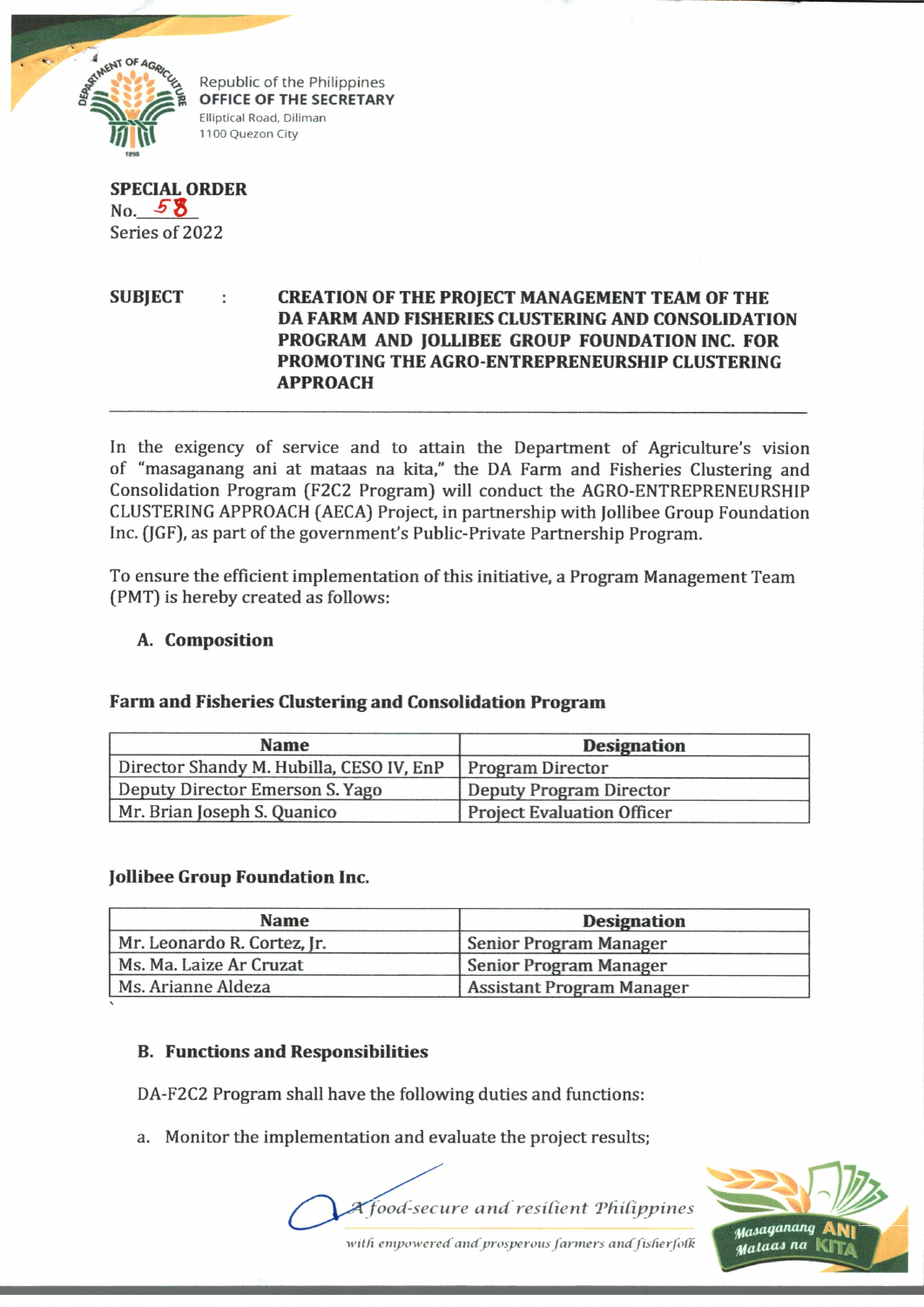

Republic of the Philippines **OFFICE OF THE SECRETARY** Elliptical Road, Diliman 1100 Quezon City

| SPECIAL ORDER  |  |
|----------------|--|
| No. $58$       |  |
| Series of 2022 |  |

## **SUBJECT CREATION OF THE PROJECT MANAGEMENT TEAM OF THE DA FARM AND FISHERIES CLUSTERING AND CONSOLIDATION PROGRAM AND JOLL1BEE GROUP FOUNDATION INC. FOR PROMOTING THE AGRO-ENTREPRENEURSHIP CLUSTERING APPROACH**

In the exigency of service and to attain the Department of Agriculture's vision of "masaganang ani at mataas na kita," the DA Farm and Fisheries Clustering and Consolidation Program (F2C2 Program) will conduct the AGRO-ENTREPRENEURSHIP CLUSTERING APPROACH (AECA) Project, in partnership with Jollibee Group Foundation Inc. (JGF), as part of the government's Public-Private Partnership Program.

To ensure the efficient implementation of this initiative, a Program Management Team (PMT) is hereby created as follows:

# **A. Composition**

## **Farm and Fisheries Clustering and Consolidation Program**

| <b>Name</b>                              | <b>Designation</b>                |
|------------------------------------------|-----------------------------------|
| Director Shandy M. Hubilla, CESO IV, EnP | <b>Program Director</b>           |
| Deputy Director Emerson S. Yago          | Deputy Program Director           |
| Mr. Brian Joseph S. Quanico              | <b>Project Evaluation Officer</b> |

## **Jollibee Group Foundation Inc.**

| <b>Name</b>                 | <b>Designation</b>               |
|-----------------------------|----------------------------------|
| Mr. Leonardo R. Cortez, Jr. | <b>Senior Program Manager</b>    |
| Ms. Ma. Laize Ar Cruzat     | <b>Senior Program Manager</b>    |
| Ms. Arianne Aldeza          | <b>Assistant Program Manager</b> |

## **B. Functions and Responsibilities**

DA-F2C2 Program shall have the following duties and functions:

a. Monitor the implementation and evaluate the project results;



*w illi empowered and'prosperous farm ers and fisherfol'k*